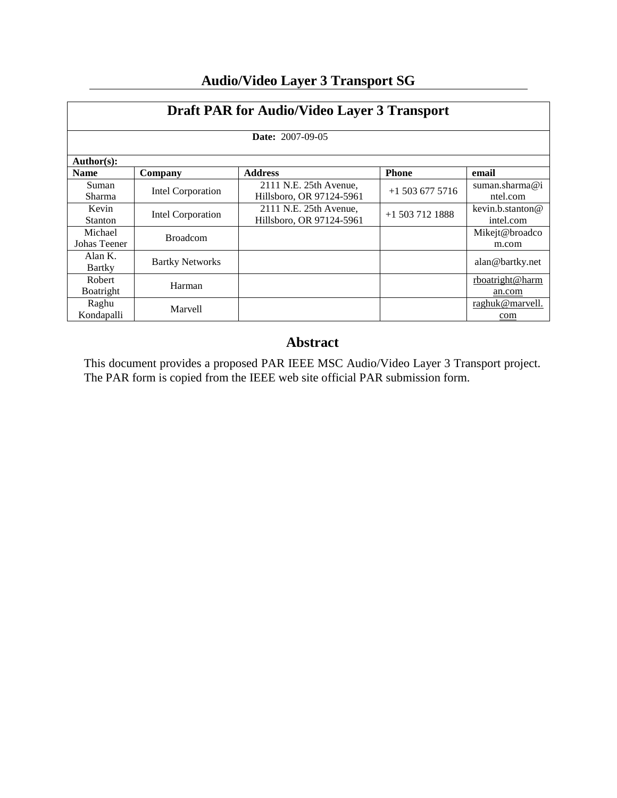| <b>Draft PAR for Audio/Video Layer 3 Transport</b> |                        |                                                    |                   |                               |  |
|----------------------------------------------------|------------------------|----------------------------------------------------|-------------------|-------------------------------|--|
| <b>Date: 2007-09-05</b>                            |                        |                                                    |                   |                               |  |
| Author(s):                                         |                        |                                                    |                   |                               |  |
| <b>Name</b>                                        | Company                | <b>Address</b>                                     | <b>Phone</b>      | email                         |  |
| Suman<br>Sharma                                    | Intel Corporation      | 2111 N.E. 25th Avenue,<br>Hillsboro, OR 97124-5961 | $+15036775716$    | suman.sharma@i<br>ntel.com    |  |
| Kevin<br><b>Stanton</b>                            | Intel Corporation      | 2111 N.E. 25th Avenue,<br>Hillsboro, OR 97124-5961 | $+1$ 503 712 1888 | kevin.b.stanton@<br>intel.com |  |
| Michael<br>Johas Teener                            | <b>Broadcom</b>        |                                                    |                   | Mikejt@broadco<br>m.com       |  |
| Alan K.<br><b>Bartky</b>                           | <b>Bartky Networks</b> |                                                    |                   | alan@bartky.net               |  |
| Robert<br>Boatright                                | Harman                 |                                                    |                   | rboatright@harm<br>an.com     |  |
| Raghu<br>Kondapalli                                | <b>Marvell</b>         |                                                    |                   | raghuk@marvell.<br>com        |  |

# **Audio/Video Layer 3 Transport SG**

## **Abstract**

This document provides a proposed PAR IEEE MSC Audio/Video Layer 3 Transport project. The PAR form is copied from the IEEE web site official PAR submission form.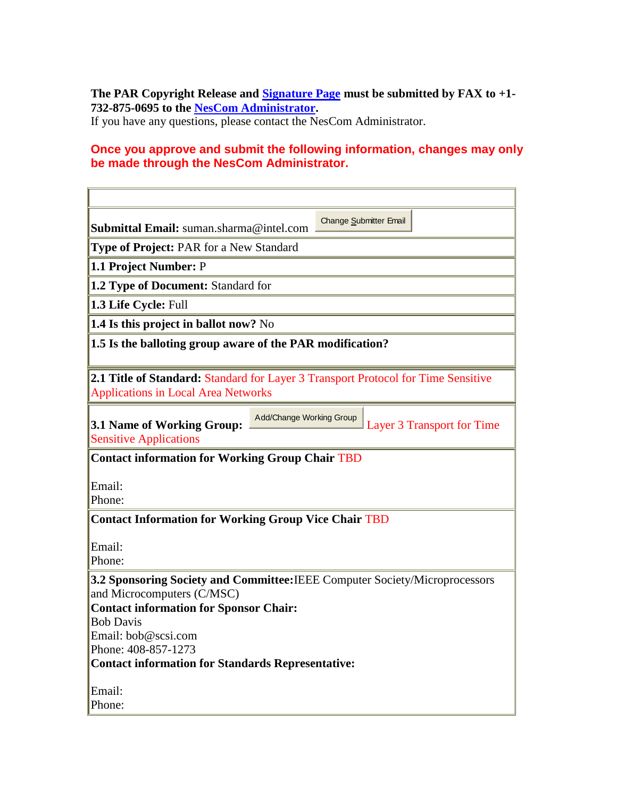**The PAR Copyright Release and [Signature Page](http://standards.ieee.org/guides/par/parsig.rtf) must be submitted by FAX to +1- 732-875-0695 to the [NesCom Administrator.](http://standards.ieee.org/people/staff.html#hampton)**

If you have any questions, please contact the NesCom Administrator.

### **Once you approve and submit the following information, changes may only be made through the NesCom Administrator.**

| Submittal Email: suman.sharma@intel.com                                                                                                | Change Submitter Email |  |  |  |  |
|----------------------------------------------------------------------------------------------------------------------------------------|------------------------|--|--|--|--|
| <b>Type of Project: PAR for a New Standard</b>                                                                                         |                        |  |  |  |  |
| 1.1 Project Number: P                                                                                                                  |                        |  |  |  |  |
| 1.2 Type of Document: Standard for                                                                                                     |                        |  |  |  |  |
| 1.3 Life Cycle: Full                                                                                                                   |                        |  |  |  |  |
| 1.4 Is this project in ballot now? No                                                                                                  |                        |  |  |  |  |
| 1.5 Is the balloting group aware of the PAR modification?                                                                              |                        |  |  |  |  |
| <b>2.1 Title of Standard: Standard for Layer 3 Transport Protocol for Time Sensitive</b><br><b>Applications in Local Area Networks</b> |                        |  |  |  |  |
| Add/Change Working Group<br>3.1 Name of Working Group:<br>Layer 3 Transport for Time<br><b>Sensitive Applications</b>                  |                        |  |  |  |  |
| <b>Contact information for Working Group Chair TBD</b>                                                                                 |                        |  |  |  |  |
| Email:                                                                                                                                 |                        |  |  |  |  |
| Phone:                                                                                                                                 |                        |  |  |  |  |
| <b>Contact Information for Working Group Vice Chair TBD</b>                                                                            |                        |  |  |  |  |
|                                                                                                                                        |                        |  |  |  |  |
| Email:                                                                                                                                 |                        |  |  |  |  |
| Phone:                                                                                                                                 |                        |  |  |  |  |
| 3.2 Sponsoring Society and Committee: IEEE Computer Society/Microprocessors<br>and Microcomputers (C/MSC)                              |                        |  |  |  |  |
| <b>Contact information for Sponsor Chair:</b>                                                                                          |                        |  |  |  |  |
| <b>Bob Davis</b>                                                                                                                       |                        |  |  |  |  |
| Email: bob@scsi.com<br>Phone: 408-857-1273                                                                                             |                        |  |  |  |  |
| <b>Contact information for Standards Representative:</b>                                                                               |                        |  |  |  |  |
|                                                                                                                                        |                        |  |  |  |  |
| Email:                                                                                                                                 |                        |  |  |  |  |
| Phone:                                                                                                                                 |                        |  |  |  |  |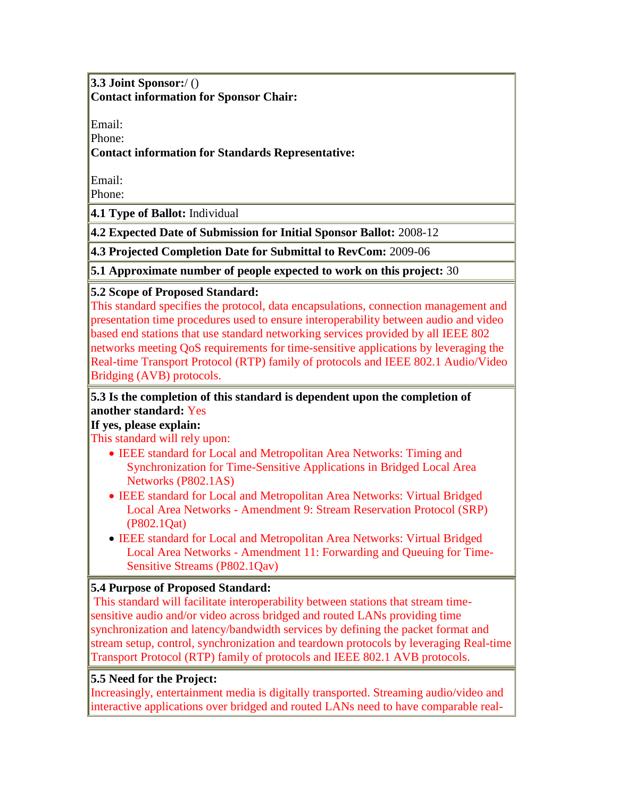**3.3 Joint Sponsor:**/ () **Contact information for Sponsor Chair:**

Email:

Phone:

**Contact information for Standards Representative:**

Email:

Phone:

**4.1 Type of Ballot:** Individual

**4.2 Expected Date of Submission for Initial Sponsor Ballot:** 2008-12

**4.3 Projected Completion Date for Submittal to RevCom:** 2009-06

**5.1 Approximate number of people expected to work on this project:** 30

**5.2 Scope of Proposed Standard:**

This standard specifies the protocol, data encapsulations, connection management and presentation time procedures used to ensure interoperability between audio and video based end stations that use standard networking services provided by all IEEE 802 networks meeting QoS requirements for time-sensitive applications by leveraging the Real-time Transport Protocol (RTP) family of protocols and IEEE 802.1 Audio/Video Bridging (AVB) protocols.

#### **5.3 Is the completion of this standard is dependent upon the completion of another standard:** Yes

#### **If yes, please explain:**

This standard will rely upon:

- IEEE standard for Local and Metropolitan Area Networks: Timing and Synchronization for Time-Sensitive Applications in Bridged Local Area Networks (P802.1AS)
- IEEE standard for Local and Metropolitan Area Networks: Virtual Bridged Local Area Networks - Amendment 9: Stream Reservation Protocol (SRP) (P802.1Qat)
- IEEE standard for Local and Metropolitan Area Networks: Virtual Bridged Local Area Networks - Amendment 11: Forwarding and Queuing for Time-Sensitive Streams (P802.1Qav)

### **5.4 Purpose of Proposed Standard:**

This standard will facilitate interoperability between stations that stream timesensitive audio and/or video across bridged and routed LANs providing time synchronization and latency/bandwidth services by defining the packet format and stream setup, control, synchronization and teardown protocols by leveraging Real-time Transport Protocol (RTP) family of protocols and IEEE 802.1 AVB protocols.

#### **5.5 Need for the Project:**

Increasingly, entertainment media is digitally transported. Streaming audio/video and interactive applications over bridged and routed LANs need to have comparable real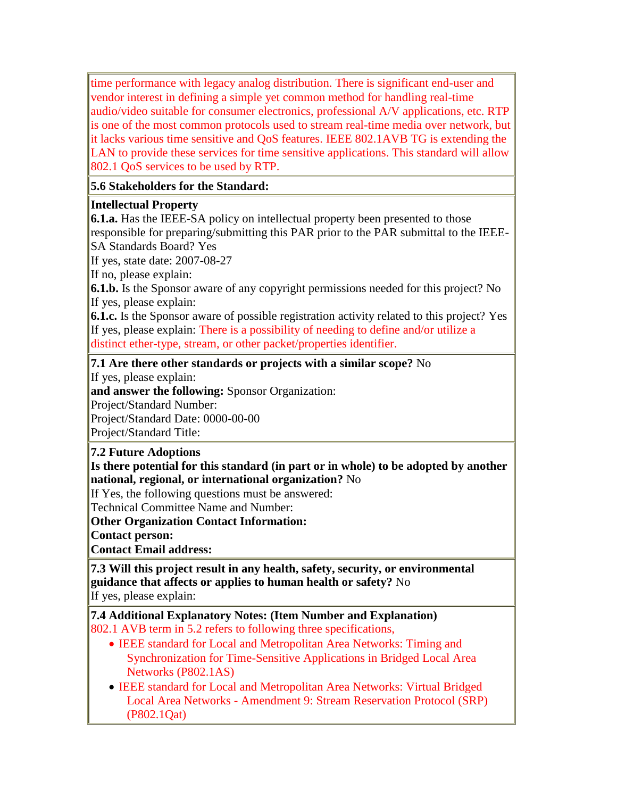time performance with legacy analog distribution. There is significant end-user and vendor interest in defining a simple yet common method for handling real-time audio/video suitable for consumer electronics, professional A/V applications, etc. RTP is one of the most common protocols used to stream real-time media over network, but it lacks various time sensitive and QoS features. IEEE 802.1AVB TG is extending the LAN to provide these services for time sensitive applications. This standard will allow 802.1 QoS services to be used by RTP.

**5.6 Stakeholders for the Standard:** 

#### **Intellectual Property**

**6.1.a.** Has the IEEE-SA policy on intellectual property been presented to those responsible for preparing/submitting this PAR prior to the PAR submittal to the IEEE-SA Standards Board? Yes

If yes, state date: 2007-08-27

If no, please explain:

**6.1.b.** Is the Sponsor aware of any copyright permissions needed for this project? No If yes, please explain:

**6.1.c.** Is the Sponsor aware of possible registration activity related to this project? Yes If yes, please explain: There is a possibility of needing to define and/or utilize a distinct ether-type, stream, or other packet/properties identifier.

**7.1 Are there other standards or projects with a similar scope?** No

If yes, please explain:

**and answer the following:** Sponsor Organization:

Project/Standard Number:

Project/Standard Date: 0000-00-00

Project/Standard Title:

**7.2 Future Adoptions**

**Is there potential for this standard (in part or in whole) to be adopted by another national, regional, or international organization?** No

If Yes, the following questions must be answered:

Technical Committee Name and Number:

**Other Organization Contact Information:** 

**Contact person:**

**Contact Email address:**

**7.3 Will this project result in any health, safety, security, or environmental guidance that affects or applies to human health or safety?** No If yes, please explain:

**7.4 Additional Explanatory Notes: (Item Number and Explanation)** 802.1 AVB term in 5.2 refers to following three specifications,

- IEEE standard for Local and Metropolitan Area Networks: Timing and Synchronization for Time-Sensitive Applications in Bridged Local Area Networks (P802.1AS)
- IEEE standard for Local and Metropolitan Area Networks: Virtual Bridged Local Area Networks - Amendment 9: Stream Reservation Protocol (SRP) (P802.1Qat)